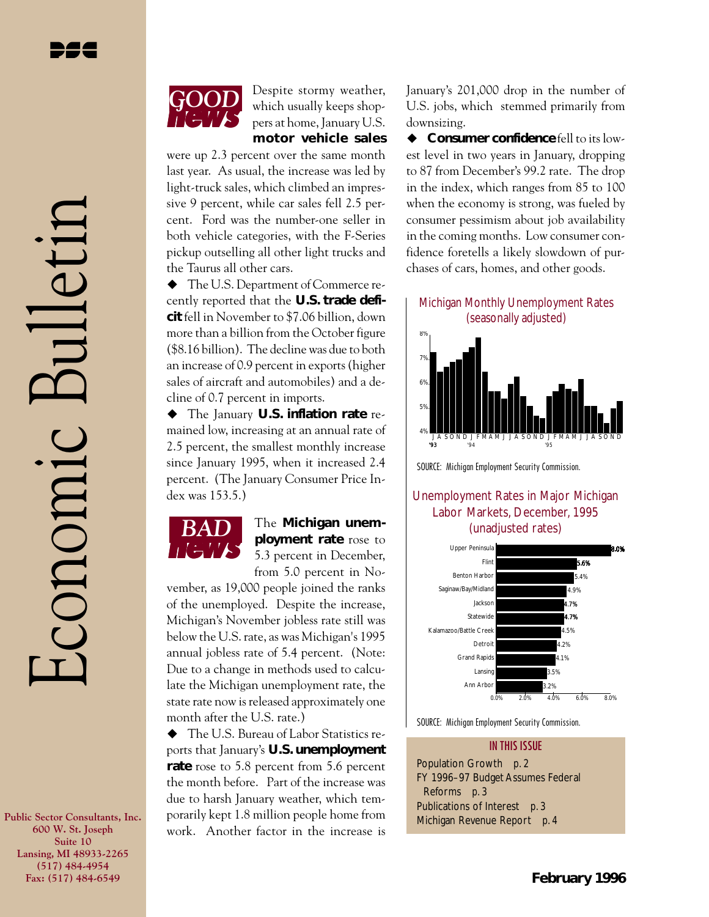Economic Bulletin

conomic

 $|||$ etij



Despite stormy weather, which usually keeps shoppers at home, January U.S. **motor vehicle sales**

were up 2.3 percent over the same month last year. As usual, the increase was led by light-truck sales, which climbed an impressive 9 percent, while car sales fell 2.5 percent. Ford was the number-one seller in both vehicle categories, with the F-Series pickup outselling all other light trucks and the Taurus all other cars.

 $\blacklozenge$  The U.S. Department of Commerce recently reported that the **U.S. trade deficit** fell in November to \$7.06 billion, down more than a billion from the October figure (\$8.16 billion). The decline was due to both an increase of 0.9 percent in exports (higher sales of aircraft and automobiles) and a decline of 0.7 percent in imports.

u The January **U.S. inflation rate** remained low, increasing at an annual rate of 2.5 percent, the smallest monthly increase since January 1995, when it increased 2.4 percent. (The January Consumer Price Index was 153.5.)



*BAD* The **Michigan unemployment rate** rose to 5.3 percent in December, from 5.0 percent in No-

vember, as 19,000 people joined the ranks of the unemployed. Despite the increase, Michigan's November jobless rate still was below the U.S. rate, as was Michigan's 1995 annual jobless rate of 5.4 percent. (Note: Due to a change in methods used to calculate the Michigan unemployment rate, the state rate now is released approximately one month after the U.S. rate.)

 $\blacklozenge$  The U.S. Bureau of Labor Statistics reports that January's **U.S. unemployment rate** rose to 5.8 percent from 5.6 percent the month before. Part of the increase was due to harsh January weather, which temporarily kept 1.8 million people home from work. Another factor in the increase is January's 201,000 drop in the number of U.S. jobs, which stemmed primarily from downsizing.

◆ **Consumer confidence** fell to its lowest level in two years in January, dropping to 87 from December's 99.2 rate. The drop in the index, which ranges from 85 to 100 when the economy is strong, was fueled by consumer pessimism about job availability in the coming months. Low consumer confidence foretells a likely slowdown of purchases of cars, homes, and other goods.

Michigan Monthly Unemployment Rates (seasonally adjusted)



SOURCE: Michigan Employment Security Commission.

## Unemployment Rates in Major Michigan Labor Markets, December, 1995 (unadjusted rates)



SOURCE: Michigan Employment Security Commission.



**Public Sector Consultants, Inc. 600 W. St. Joseph Suite 10 Lansing, MI 48933-2265 (517) 484-4954 Fax: (517) 484-6549**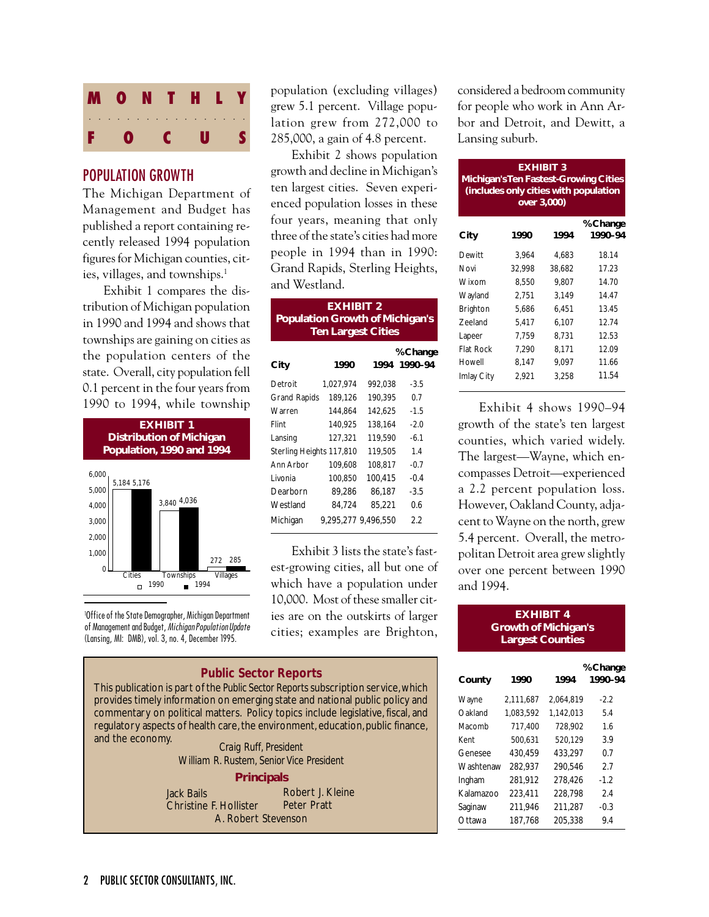

## POPULATION GROWTH

The Michigan Department of Management and Budget has published a report containing recently released 1994 population figures for Michigan counties, cities, villages, and townships.<sup>1</sup>

Exhibit 1 compares the distribution of Michigan population in 1990 and 1994 and shows that townships are gaining on cities as the population centers of the state. Overall, city population fell 0.1 percent in the four years from 1990 to 1994, while township



1 Office of the State Demographer, Michigan Department of Management and Budget, Michigan Population Update (Lansing, MI: DMB), vol. 3, no. 4, December 1995.

population (excluding villages) grew 5.1 percent. Village population grew from 272,000 to 285,000, a gain of 4.8 percent.

Exhibit 2 shows population growth and decline in Michigan's ten largest cities. Seven experienced population losses in these four years, meaning that only three of the state's cities had more people in 1994 than in 1990: Grand Rapids, Sterling Heights, and Westland.

|                          | <b>EXHIBIT 2</b><br><b>Population Growth of Michigan's</b><br><b>Ten Largest Cities</b> |         |                          |  |  |
|--------------------------|-----------------------------------------------------------------------------------------|---------|--------------------------|--|--|
| City                     | 1990                                                                                    |         | % Change<br>1994 1990-94 |  |  |
| Detroit                  | 1,027,974                                                                               | 992,038 | $-3.5$                   |  |  |
| <b>Grand Rapids</b>      | 189,126                                                                                 | 190,395 | 0.7                      |  |  |
| Warren                   | 144,864                                                                                 | 142,625 | $-1.5$                   |  |  |
| Flint                    | 140,925                                                                                 | 138,164 | $-2.0$                   |  |  |
| Lansing                  | 127.321                                                                                 | 119,590 | $-6.1$                   |  |  |
| Sterling Heights 117,810 |                                                                                         | 119,505 | 1.4                      |  |  |
| Ann Arbor                | 109.608                                                                                 | 108,817 | $-0.7$                   |  |  |
| I ivonia                 | 100,850                                                                                 | 100,415 | $-0.4$                   |  |  |
| Dearborn                 | 89,286                                                                                  | 86,187  | -3.5                     |  |  |
| Westland                 | 84.724                                                                                  | 85,221  | 0.6                      |  |  |
| Michigan                 | 9.295.277 9.496.550                                                                     |         | 2.2                      |  |  |

Exhibit 3 lists the state's fastest-growing cities, all but one of which have a population under 10,000. Most of these smaller cities are on the outskirts of larger cities; examples are Brighton,

### *Public Sector Reports*

This publication is part of the *Public Sector Reports* subscription service, which provides timely information on emerging state and national public policy and commentary on political matters. Policy topics include legislative, fiscal, and regulatory aspects of health care, the environment, education, public finance, and the economy. *Craig Ruff, President*

*William R. Rustem, Senior Vice President*

**Principals**

Jack Bails Christine F. Hollister A. Robert Stevenson Robert J. Kleine Peter Pratt

considered a bedroom community for people who work in Ann Arbor and Detroit, and Dewitt, a Lansing suburb.

| <b>EXHIBIT 3</b><br><b>Michigan's Ten Fastest-Growing Cities</b><br>(includes only cities with population<br>over 3,000) |        |        |                     |  |  |  |  |
|--------------------------------------------------------------------------------------------------------------------------|--------|--------|---------------------|--|--|--|--|
| City                                                                                                                     | 1990   | 1994   | % Change<br>1990–94 |  |  |  |  |
| Dewitt                                                                                                                   | 3,964  | 4,683  | 18.14               |  |  |  |  |
| Novi                                                                                                                     | 32.998 | 38.682 | 17.23               |  |  |  |  |
| Wixom                                                                                                                    | 8,550  | 9,807  | 14.70               |  |  |  |  |
| Wayland                                                                                                                  | 2,751  | 3,149  | 14.47               |  |  |  |  |
| Brighton                                                                                                                 | 5.686  | 6.451  | 13.45               |  |  |  |  |
| Zeeland                                                                                                                  | 5,417  | 6,107  | 12.74               |  |  |  |  |
| Lapeer                                                                                                                   | 7.759  | 8,731  | 12.53               |  |  |  |  |
| <b>Flat Rock</b>                                                                                                         | 7.290  | 8.171  | 12.09               |  |  |  |  |
| Howell                                                                                                                   | 8,147  | 9.097  | 11.66               |  |  |  |  |
| Imlay City                                                                                                               | 2.921  | 3.258  | 11.54               |  |  |  |  |

Exhibit 4 shows 1990–94 growth of the state's ten largest counties, which varied widely. The largest—Wayne, which encompasses Detroit—experienced a 2.2 percent population loss. However, Oakland County, adjacent to Wayne on the north, grew 5.4 percent. Overall, the metropolitan Detroit area grew slightly over one percent between 1990 and 1994.

#### **EXHIBIT 4 Growth of Michigan's Largest Counties**

| County    | 1990      | 1994      | % Change<br>1990-94 |
|-----------|-----------|-----------|---------------------|
| Wayne     | 2,111,687 | 2,064,819 | $-2.2$              |
| Oakland   | 1.083.592 | 1,142,013 | 5.4                 |
| Macomb    | 717,400   | 728,902   | 1.6                 |
| Kent      | 500,631   | 520,129   | 3.9                 |
| Genesee   | 430,459   | 433.297   | 0.7                 |
| Washtenaw | 282,937   | 290,546   | 2.7                 |
| Ingham    | 281.912   | 278.426   | $-1.2$              |
| Kalamazoo | 223,411   | 228,798   | 2.4                 |
| Saqinaw   | 211,946   | 211,287   | $-0.3$              |
| Ottawa    | 187.768   | 205.338   | 9.4                 |
|           |           |           |                     |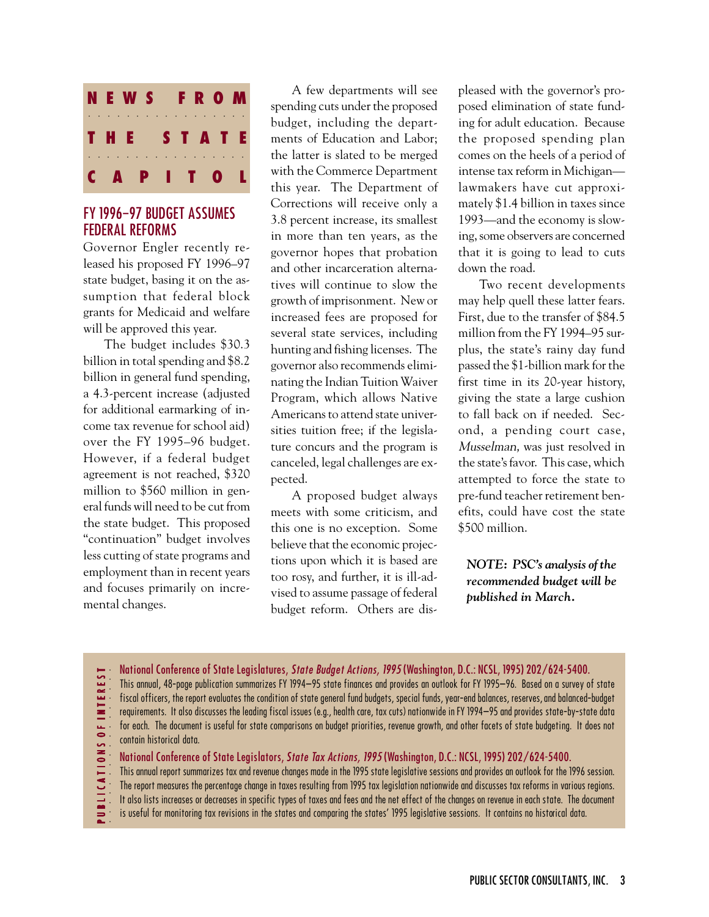

# FY 1996–97 BUDGET ASSUMES FEDERAL REFORMS

Governor Engler recently released his proposed FY 1996–97 state budget, basing it on the assumption that federal block grants for Medicaid and welfare will be approved this year.

The budget includes \$30.3 billion in total spending and \$8.2 billion in general fund spending, a 4.3-percent increase (adjusted for additional earmarking of income tax revenue for school aid) over the FY 1995–96 budget. However, if a federal budget agreement is not reached, \$320 million to \$560 million in general funds will need to be cut from the state budget. This proposed "continuation" budget involves less cutting of state programs and employment than in recent years and focuses primarily on incremental changes.

A few departments will see spending cuts under the proposed budget, including the departments of Education and Labor; the latter is slated to be merged with the Commerce Department this year. The Department of Corrections will receive only a 3.8 percent increase, its smallest in more than ten years, as the governor hopes that probation and other incarceration alternatives will continue to slow the growth of imprisonment. New or increased fees are proposed for several state services, including hunting and fishing licenses. The governor also recommends eliminating the Indian Tuition Waiver Program, which allows Native Americans to attend state universities tuition free; if the legislature concurs and the program is canceled, legal challenges are expected.

A proposed budget always meets with some criticism, and this one is no exception. Some believe that the economic projections upon which it is based are too rosy, and further, it is ill-advised to assume passage of federal budget reform. Others are dis-

pleased with the governor's proposed elimination of state funding for adult education. Because the proposed spending plan comes on the heels of a period of intense tax reform in Michigan lawmakers have cut approximately \$1.4 billion in taxes since 1993—and the economy is slowing, some observers are concerned that it is going to lead to cuts down the road.

Two recent developments may help quell these latter fears. First, due to the transfer of \$84.5 million from the FY 1994–95 surplus, the state's rainy day fund passed the \$1-billion mark for the first time in its 20-year history, giving the state a large cushion to fall back on if needed. Second, a pending court case, Musselman, was just resolved in the state's favor. This case, which attempted to force the state to pre-fund teacher retirement benefits, could have cost the state \$500 million.

*NOTE: PSC's analysis of the recommended budget will be published in March.*

- **EREST** aaaaaaaaaaaaaaaaa P U B L I C A T I O N S O F I N T E R E S T
- National Conference of State Legislatures, State Budget Actions, 1995 (Washington, D.C.: NCSL, 1995) 202/624-5400. This annual, 48-page publication summarizes FY 1994–95 state finances and provides an outlook for FY 1995–96. Based on a survey of state
- fiscal officers, the report evaluates the condition of state general fund budgets, special funds, year-end balances, reserves, and balanced-budget
- - requirements. It also discusses the leading fiscal issues (e.g., health care, tax cuts) nationwide in FY 1994–95 and provides state-by-state data for each. The document is useful for state comparisons on budget priorities, revenue growth, and other facets of state budgeting. It does not contain historical data.
- BLICATIONS OF INT
	- National Conference of State Legislators, State Tax Actions, 1995 (Washington, D.C.: NCSL, 1995) 202/624-5400.
- This annual report summarizes tax and revenue changes made in the 1995 state legislative sessions and provides an outlook for the 1996 session.
- The report measures the percentage change in taxes resulting from 1995 tax legislation nationwide and discusses tax reforms in various regions.
- It also lists increases or decreases in specific types of taxes and fees and the net effect of the changes on revenue in each state. The document
- is useful for monitoring tax revisions in the states and comparing the states' 1995 legislative sessions. It contains no historical data.